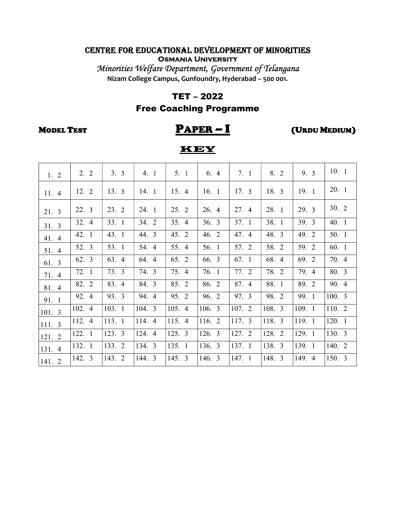Minorities Welfare Department, Government of Telangana Nizam College Campus, Gunfoundry, Hyderabad – 500 001.

#### TET – 2022

### Free Coaching Programme

## MODEL TEST  $\overline{PAPER - I}$  (URDU MEDIUM)

| 1.2    | 2.2    | 3.3    | 4.1    | 5.1    | 6.4    | 7.1    | 8. 2   | 9. 3   | 10.1   |
|--------|--------|--------|--------|--------|--------|--------|--------|--------|--------|
| 11.4   | 12.2   | 13.3   | 14.1   | 15. 4  | 16.1   | 17.3   | 18. 3  | 19.1   | 20. 1  |
| 21. 3  | 22. 3  | 23.2   | 24. 1  | 25.2   | 26. 4  | 27. 4  | 28. 1  | 29. 3  | 30.2   |
| 31.3   | 32. 4  | 33.1   | 34. 2  | 35.4   | 36. 3  | 37.1   | 38. 1  | 39.3   | 40.1   |
| 41. 4  | 42. 1  | 43. 1  | 44. 3  | 45. 2  | 46. 2  | 47. 4  | 48. 3  | 49. 2  | 50. 1  |
| 51. 4  | 52. 3  | 53. 1  | 54. 4  | 55. 4  | 56. 1  | 57. 2  | 58. 2  | 59. 2  | 60. 1  |
| 61. 3  | 62. 3  | 63. 4  | 64. 4  | 65. 2  | 66. 3  | 67. 1  | 68. 4  | 69. 2  | 70. 4  |
| 71. 4  | 72. 1  | 73. 3  | 74. 3  | 75. 4  | 76. 1  | 77. 2  | 78. 2  | 79. 4  | 80. 3  |
| 81. 4  | 82. 2  | 83. 4  | 84. 3  | 85. 2  | 86. 2  | 87. 4  | 88. 1  | 89. 2  | 90. 4  |
| 91. 1  | 92. 4  | 93. 3  | 94. 4  | 95. 2  | 96. 2  | 97. 3  | 98. 2  | 99. 1  | 100.3  |
| 101. 3 | 102. 4 | 103. 1 | 104.3  | 105. 4 | 106. 3 | 107. 2 | 108. 3 | 109. 1 | 110. 2 |
| 111. 3 | 112. 4 | 113. 1 | 114. 4 | 115. 4 | 116. 2 | 117. 3 | 118. 3 | 119. 1 | 120. 1 |
| 121. 2 | 122. 1 | 123.3  | 124. 4 | 125.3  | 126. 3 | 127. 2 | 128. 2 | 129. 1 | 130. 3 |
| 131. 4 | 132. 1 | 133. 2 | 134. 3 | 135. 1 | 136. 3 | 137. 1 | 138. 3 | 139. 1 | 140. 2 |
| 141. 2 | 142. 3 | 143. 2 | 144. 3 | 145. 3 | 146. 3 | 147. 1 | 148. 3 | 149. 4 | 150. 3 |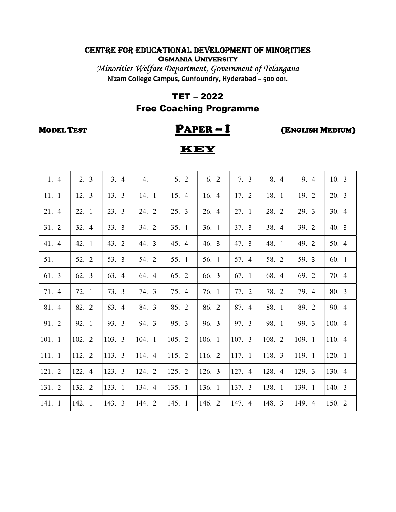Minorities Welfare Department, Government of Telangana Nizam College Campus, Gunfoundry, Hyderabad – 500 001.

#### TET – 2022

### Free Coaching Programme

# MODEL TEST PAPER – I (ENGLISH MEDIUM)

| 1.4    | 2.3    | 3.4    | 4.     | 5.2    | 6.2    | 7.3    | 8. 4   | 9. 4   | 10.3   |
|--------|--------|--------|--------|--------|--------|--------|--------|--------|--------|
| 11.1   | 12. 3  | 13. 3  | 14. 1  | 15. 4  | 16. 4  | 17. 2  | 18. 1  | 19. 2  | 20. 3  |
| 21. 4  | 22. 1  | 23. 3  | 24. 2  | 25. 3  | 26. 4  | 27.1   | 28. 2  | 29. 3  | 30.4   |
| 31.2   | 32. 4  | 33. 3  | 34. 2  | 35.1   | 36.1   | 37. 3  | 38. 4  | 39. 2  | 40. 3  |
| 41. 4  | 42. 1  | 43. 2  | 44. 3  | 45. 4  | 46. 3  | 47. 3  | 48. 1  | 49. 2  | 50. 4  |
| 51.    | 52. 2  | 53. 3  | 54. 2  | 55. 1  | 56. 1  | 57. 4  | 58. 2  | 59. 3  | 60. 1  |
| 61. 3  | 62. 3  | 63. 4  | 64. 4  | 65. 2  | 66. 3  | 67. 1  | 68. 4  | 69. 2  | 70. 4  |
| 71. 4  | 72. 1  | 73. 3  | 74. 3  | 75. 4  | 76. 1  | 77. 2  | 78. 2  | 79. 4  | 80. 3  |
| 81. 4  | 82. 2  | 83. 4  | 84. 3  | 85. 2  | 86. 2  | 87. 4  | 88. 1  | 89. 2  | 90. 4  |
| 91. 2  | 92. 1  | 93. 3  | 94. 3  | 95. 3  | 96. 3  | 97. 3  | 98. 1  | 99. 3  | 100. 4 |
| 101. 1 | 102. 2 | 103. 3 | 104. 1 | 105. 2 | 106. 1 | 107. 3 | 108. 2 | 109. 1 | 110. 4 |
| 111. 1 | 112. 2 | 113. 3 | 114. 4 | 115. 2 | 116. 2 | 117. 1 | 118. 3 | 119. 1 | 120. 1 |
| 121. 2 | 122. 4 | 123. 3 | 124. 2 | 125. 2 | 126. 3 | 127. 4 | 128. 4 | 129. 3 | 130. 4 |
| 131. 2 | 132. 2 | 133. 1 | 134. 4 | 135. 1 | 136. 1 | 137. 3 | 138. 1 | 139. 1 | 140. 3 |
| 141. 1 | 142. 1 | 143. 3 | 144. 2 | 145. 1 | 146. 2 | 147. 4 | 148. 3 | 149. 4 | 150. 2 |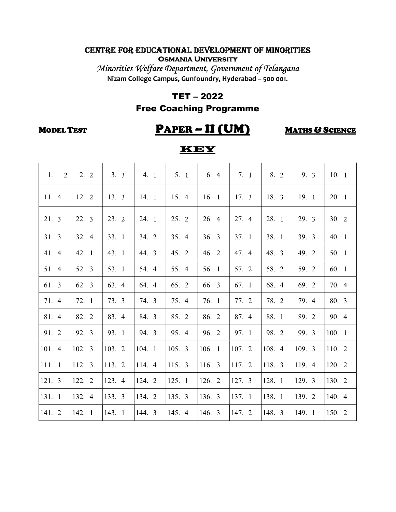Minorities Welfare Department, Government of Telangana Nizam College Campus, Gunfoundry, Hyderabad – 500 001.

#### TET – 2022

### Free Coaching Programme

## MODEL TEST PAPER – II (UM) MATHS & SCIENCE

| 1.<br>$\overline{2}$ | 2.2    | 3.3    | 4.1    | 5.1    | 6.4    | 7.1    | 8. 2   | 9. 3   | 10.1   |
|----------------------|--------|--------|--------|--------|--------|--------|--------|--------|--------|
| 11.4                 | 12. 2  | 13.3   | 14. 1  | 15. 4  | 16.1   | 17.3   | 18. 3  | 19. 1  | 20. 1  |
| 21. 3                | 22. 3  | 23. 2  | 24. 1  | 25.2   | 26. 4  | 27. 4  | 28. 1  | 29. 3  | 30.2   |
| 31. 3                | 32. 4  | 33. 1  | 34. 2  | 35.4   | 36.3   | 37. 1  | 38. 1  | 39. 3  | 40. 1  |
| 41. 4                | 42. 1  | 43. 1  | 44. 3  | 45. 2  | 46. 2  | 47. 4  | 48. 3  | 49. 2  | 50. 1  |
| 51. 4                | 52. 3  | 53. 1  | 54. 4  | 55. 4  | 56. 1  | 57. 2  | 58. 2  | 59. 2  | 60. 1  |
| 61. 3                | 62. 3  | 63. 4  | 64. 4  | 65. 2  | 66. 3  | 67. 1  | 68. 4  | 69. 2  | 70. 4  |
| 71. 4                | 72. 1  | 73. 3  | 74. 3  | 75. 4  | 76. 1  | 77. 2  | 78. 2  | 79. 4  | 80. 3  |
| 81. 4                | 82. 2  | 83. 4  | 84. 3  | 85. 2  | 86. 2  | 87. 4  | 88. 1  | 89. 2  | 90. 4  |
| 91. 2                | 92. 3  | 93. 1  | 94. 3  | 95. 4  | 96. 2  | 97. 1  | 98. 2  | 99. 3  | 100.1  |
| 101. 4               | 102.3  | 103. 2 | 104. 1 | 105. 3 | 106. 1 | 107.2  | 108. 4 | 109. 3 | 110. 2 |
| 111. 1               | 112. 3 | 113. 2 | 114. 4 | 115. 3 | 116. 3 | 117. 2 | 118. 3 | 119. 4 | 120. 2 |
| 121. 3               | 122. 2 | 123. 4 | 124. 2 | 125.1  | 126. 2 | 127.3  | 128. 1 | 129. 3 | 130. 2 |
| 131. 1               | 132. 4 | 133. 3 | 134. 2 | 135. 3 | 136. 3 | 137. 1 | 138. 1 | 139. 2 | 140. 4 |
| 141. 2               | 142. 1 | 143. 1 | 144. 3 | 145. 4 | 146. 3 | 147. 2 | 148. 3 | 149. 1 | 150. 2 |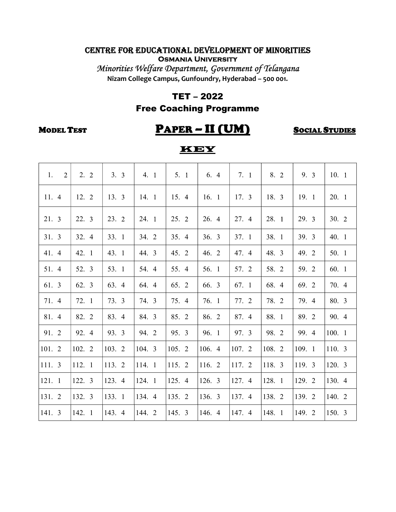Minorities Welfare Department, Government of Telangana Nizam College Campus, Gunfoundry, Hyderabad – 500 001.

#### TET – 2022

### Free Coaching Programme

## MODEL TEST **PAPER – II (UM)** SOCIAL STUDIES

| 2<br>1. | 2.2    | 3.3    | 4. 1   | 5.1    | 6. 4   | 7.1    | 8. 2   | 9. 3   | 10.1   |
|---------|--------|--------|--------|--------|--------|--------|--------|--------|--------|
| 11.4    | 12. 2  | 13. 3  | 14. 1  | 15. 4  | 16.1   | 17.3   | 18. 3  | 19. 1  | 20. 1  |
| 21. 3   | 22. 3  | 23. 2  | 24. 1  | 25. 2  | 26. 4  | 27. 4  | 28. 1  | 29. 3  | 30.2   |
| 31.3    | 32. 4  | 33. 1  | 34. 2  | 35. 4  | 36.3   | 37. 1  | 38. 1  | 39. 3  | 40.1   |
| 41. 4   | 42. 1  | 43. 1  | 44. 3  | 45. 2  | 46. 2  | 47. 4  | 48. 3  | 49. 2  | 50. 1  |
| 51. 4   | 52. 3  | 53. 1  | 54. 4  | 55. 4  | 56. 1  | 57. 2  | 58. 2  | 59. 2  | 60. 1  |
| 61. 3   | 62. 3  | 63. 4  | 64. 4  | 65. 2  | 66. 3  | 67. 1  | 68. 4  | 69. 2  | 70. 4  |
| 71. 4   | 72. 1  | 73. 3  | 74. 3  | 75. 4  | 76. 1  | 77. 2  | 78. 2  | 79. 4  | 80. 3  |
| 81. 4   | 82. 2  | 83. 4  | 84. 3  | 85. 2  | 86. 2  | 87. 4  | 88. 1  | 89. 2  | 90. 4  |
| 91. 2   | 92. 4  | 93. 3  | 94. 2  | 95. 3  | 96. 1  | 97. 3  | 98. 2  | 99. 4  | 100.1  |
| 101. 2  | 102. 2 | 103. 2 | 104. 3 | 105. 2 | 106. 4 | 107. 2 | 108. 2 | 109. 1 | 110.3  |
| 111. 3  | 112. 1 | 113. 2 | 114. 1 | 115. 2 | 116. 2 | 117. 2 | 118. 3 | 119. 3 | 120. 3 |
| 121. 1  | 122. 3 | 123. 4 | 124. 1 | 125. 4 | 126. 3 | 127. 4 | 128. 1 | 129. 2 | 130. 4 |
| 131. 2  | 132. 3 | 133. 1 | 134. 4 | 135. 2 | 136. 3 | 137. 4 | 138. 2 | 139. 2 | 140. 2 |
| 141. 3  | 142. 1 | 143. 4 | 144. 2 | 145. 3 | 146. 4 | 147. 4 | 148. 1 | 149. 2 | 150. 3 |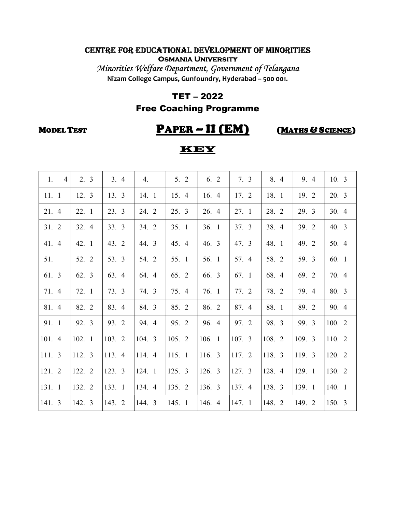Minorities Welfare Department, Government of Telangana Nizam College Campus, Gunfoundry, Hyderabad – 500 001.

#### TET – 2022

### Free Coaching Programme

# MODEL TEST PAPER – II (EM) (MATHS & SCIENCE)

| 1.<br>$\overline{4}$ | 2.3    | 3.4    | 4.     | 5.2    | 6. 2   | 7.3    | 8. 4   | 9. 4   | 10.3   |
|----------------------|--------|--------|--------|--------|--------|--------|--------|--------|--------|
| 11.1                 | 12. 3  | 13. 3  | 14. 1  | 15. 4  | 16. 4  | 17. 2  | 18. 1  | 19. 2  | 20. 3  |
| 21. 4                | 22. 1  | 23. 3  | 24. 2  | 25.3   | 26. 4  | 27.1   | 28. 2  | 29. 3  | 30.4   |
| 31. 2                | 32. 4  | 33. 3  | 34. 2  | 35.1   | 36.1   | 37.3   | 38. 4  | 39. 2  | 40.3   |
| 41. 4                | 42. 1  | 43. 2  | 44. 3  | 45. 4  | 46. 3  | 47. 3  | 48. 1  | 49. 2  | 50. 4  |
| 51.                  | 52. 2  | 53. 3  | 54. 2  | 55. 1  | 56. 1  | 57. 4  | 58. 2  | 59. 3  | 60. 1  |
| 61. 3                | 62. 3  | 63. 4  | 64. 4  | 65. 2  | 66. 3  | 67. 1  | 68. 4  | 69. 2  | 70. 4  |
| 71. 4                | 72. 1  | 73. 3  | 74. 3  | 75. 4  | 76. 1  | 77. 2  | 78. 2  | 79. 4  | 80. 3  |
| 81. 4                | 82. 2  | 83. 4  | 84. 3  | 85. 2  | 86. 2  | 87. 4  | 88. 1  | 89. 2  | 90. 4  |
| 91. 1                | 92. 3  | 93. 2  | 94. 4  | 95. 2  | 96. 4  | 97. 2  | 98. 3  | 99. 3  | 100. 2 |
| 101. 4               | 102. 1 | 103. 2 | 104. 3 | 105. 2 | 106. 1 | 107.3  | 108. 2 | 109. 3 | 110. 2 |
| 111. 3               | 112. 3 | 113. 4 | 114. 4 | 115. 1 | 116. 3 | 117. 2 | 118. 3 | 119. 3 | 120. 2 |
| 121. 2               | 122. 2 | 123. 3 | 124. 1 | 125. 3 | 126. 3 | 127. 3 | 128. 4 | 129. 1 | 130. 2 |
| 131. 1               | 132. 2 | 133. 1 | 134. 4 | 135. 2 | 136. 3 | 137. 4 | 138. 3 | 139. 1 | 140. 1 |
| 141. 3               | 142. 3 | 143. 2 | 144. 3 | 145.1  | 146. 4 | 147.1  | 148. 2 | 149. 2 | 150. 3 |